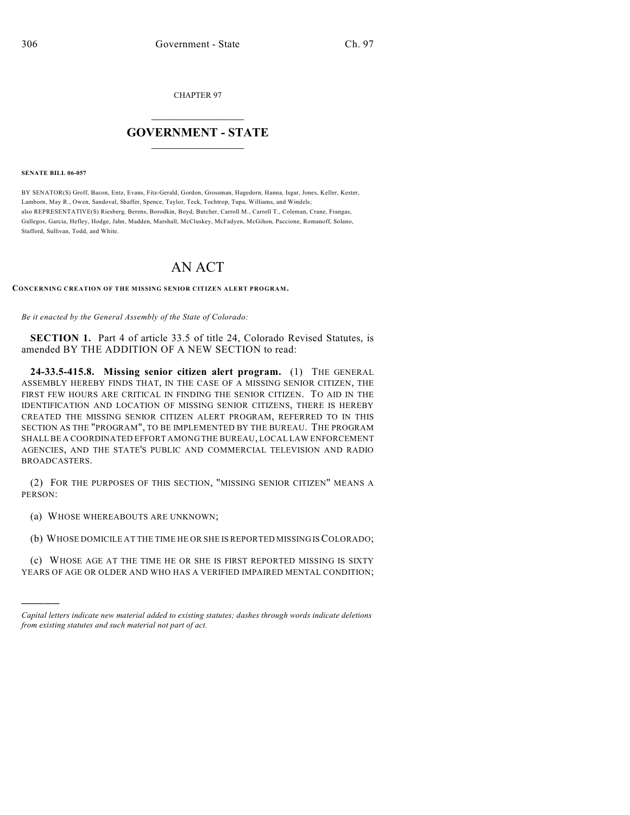CHAPTER 97

## $\mathcal{L}_\text{max}$  . The set of the set of the set of the set of the set of the set of the set of the set of the set of the set of the set of the set of the set of the set of the set of the set of the set of the set of the set **GOVERNMENT - STATE**  $\_$   $\_$

## **SENATE BILL 06-057**

)))))

BY SENATOR(S) Groff, Bacon, Entz, Evans, Fitz-Gerald, Gordon, Grossman, Hagedorn, Hanna, Isgar, Jones, Keller, Kester, Lamborn, May R., Owen, Sandoval, Shaffer, Spence, Taylor, Teck, Tochtrop, Tupa, Williams, and Windels; also REPRESENTATIVE(S) Riesberg, Berens, Borodkin, Boyd, Butcher, Carroll M., Carroll T., Coleman, Crane, Frangas, Gallegos, Garcia, Hefley, Hodge, Jahn, Madden, Marshall, McCluskey, McFadyen, McGihon, Paccione, Romanoff, Solano, Stafford, Sullivan, Todd, and White.

## AN ACT

## **CONCERNING CREATION OF THE MISSING SENIOR CITIZEN ALERT PROGRAM.**

*Be it enacted by the General Assembly of the State of Colorado:*

**SECTION 1.** Part 4 of article 33.5 of title 24, Colorado Revised Statutes, is amended BY THE ADDITION OF A NEW SECTION to read:

**24-33.5-415.8. Missing senior citizen alert program.** (1) THE GENERAL ASSEMBLY HEREBY FINDS THAT, IN THE CASE OF A MISSING SENIOR CITIZEN, THE FIRST FEW HOURS ARE CRITICAL IN FINDING THE SENIOR CITIZEN. TO AID IN THE IDENTIFICATION AND LOCATION OF MISSING SENIOR CITIZENS, THERE IS HEREBY CREATED THE MISSING SENIOR CITIZEN ALERT PROGRAM, REFERRED TO IN THIS SECTION AS THE "PROGRAM", TO BE IMPLEMENTED BY THE BUREAU. THE PROGRAM SHALL BE A COORDINATED EFFORT AMONG THE BUREAU, LOCAL LAW ENFORCEMENT AGENCIES, AND THE STATE'S PUBLIC AND COMMERCIAL TELEVISION AND RADIO BROADCASTERS.

(2) FOR THE PURPOSES OF THIS SECTION, "MISSING SENIOR CITIZEN" MEANS A PERSON:

(a) WHOSE WHEREABOUTS ARE UNKNOWN;

(b) WHOSE DOMICILE AT THE TIME HE OR SHE IS REPORTED MISSING IS COLORADO;

(c) WHOSE AGE AT THE TIME HE OR SHE IS FIRST REPORTED MISSING IS SIXTY YEARS OF AGE OR OLDER AND WHO HAS A VERIFIED IMPAIRED MENTAL CONDITION;

*Capital letters indicate new material added to existing statutes; dashes through words indicate deletions from existing statutes and such material not part of act.*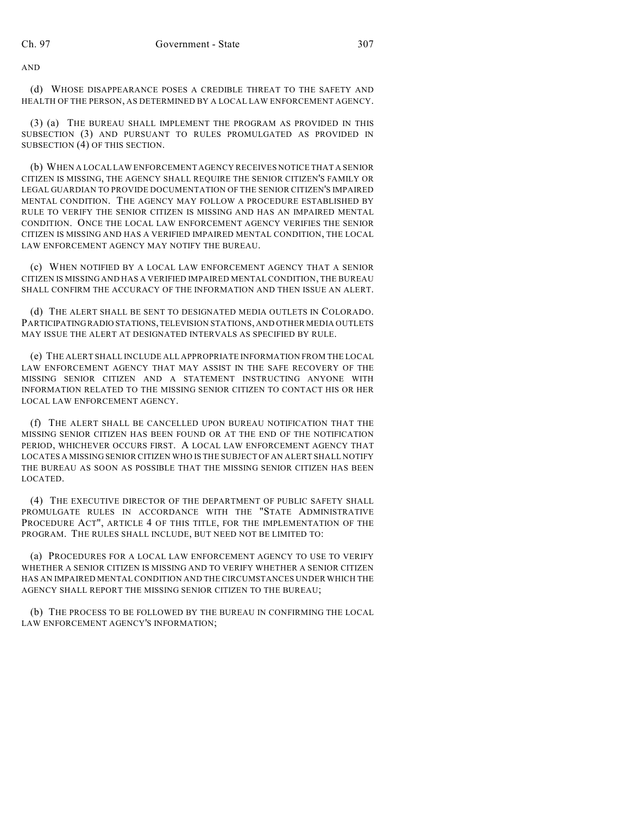AND

(d) WHOSE DISAPPEARANCE POSES A CREDIBLE THREAT TO THE SAFETY AND HEALTH OF THE PERSON, AS DETERMINED BY A LOCAL LAW ENFORCEMENT AGENCY.

(3) (a) THE BUREAU SHALL IMPLEMENT THE PROGRAM AS PROVIDED IN THIS SUBSECTION (3) AND PURSUANT TO RULES PROMULGATED AS PROVIDED IN SUBSECTION (4) OF THIS SECTION.

(b) WHEN A LOCAL LAW ENFORCEMENT AGENCY RECEIVES NOTICE THAT A SENIOR CITIZEN IS MISSING, THE AGENCY SHALL REQUIRE THE SENIOR CITIZEN'S FAMILY OR LEGAL GUARDIAN TO PROVIDE DOCUMENTATION OF THE SENIOR CITIZEN'S IMPAIRED MENTAL CONDITION. THE AGENCY MAY FOLLOW A PROCEDURE ESTABLISHED BY RULE TO VERIFY THE SENIOR CITIZEN IS MISSING AND HAS AN IMPAIRED MENTAL CONDITION. ONCE THE LOCAL LAW ENFORCEMENT AGENCY VERIFIES THE SENIOR CITIZEN IS MISSING AND HAS A VERIFIED IMPAIRED MENTAL CONDITION, THE LOCAL LAW ENFORCEMENT AGENCY MAY NOTIFY THE BUREAU.

(c) WHEN NOTIFIED BY A LOCAL LAW ENFORCEMENT AGENCY THAT A SENIOR CITIZEN IS MISSING AND HAS A VERIFIED IMPAIRED MENTAL CONDITION, THE BUREAU SHALL CONFIRM THE ACCURACY OF THE INFORMATION AND THEN ISSUE AN ALERT.

(d) THE ALERT SHALL BE SENT TO DESIGNATED MEDIA OUTLETS IN COLORADO. PARTICIPATING RADIO STATIONS, TELEVISION STATIONS, AND OTHER MEDIA OUTLETS MAY ISSUE THE ALERT AT DESIGNATED INTERVALS AS SPECIFIED BY RULE.

(e) THE ALERT SHALL INCLUDE ALL APPROPRIATE INFORMATION FROM THE LOCAL LAW ENFORCEMENT AGENCY THAT MAY ASSIST IN THE SAFE RECOVERY OF THE MISSING SENIOR CITIZEN AND A STATEMENT INSTRUCTING ANYONE WITH INFORMATION RELATED TO THE MISSING SENIOR CITIZEN TO CONTACT HIS OR HER LOCAL LAW ENFORCEMENT AGENCY.

(f) THE ALERT SHALL BE CANCELLED UPON BUREAU NOTIFICATION THAT THE MISSING SENIOR CITIZEN HAS BEEN FOUND OR AT THE END OF THE NOTIFICATION PERIOD, WHICHEVER OCCURS FIRST. A LOCAL LAW ENFORCEMENT AGENCY THAT LOCATES A MISSING SENIOR CITIZEN WHO IS THE SUBJECT OF AN ALERT SHALL NOTIFY THE BUREAU AS SOON AS POSSIBLE THAT THE MISSING SENIOR CITIZEN HAS BEEN LOCATED.

(4) THE EXECUTIVE DIRECTOR OF THE DEPARTMENT OF PUBLIC SAFETY SHALL PROMULGATE RULES IN ACCORDANCE WITH THE "STATE ADMINISTRATIVE PROCEDURE ACT", ARTICLE 4 OF THIS TITLE, FOR THE IMPLEMENTATION OF THE PROGRAM. THE RULES SHALL INCLUDE, BUT NEED NOT BE LIMITED TO:

(a) PROCEDURES FOR A LOCAL LAW ENFORCEMENT AGENCY TO USE TO VERIFY WHETHER A SENIOR CITIZEN IS MISSING AND TO VERIFY WHETHER A SENIOR CITIZEN HAS AN IMPAIRED MENTAL CONDITION AND THE CIRCUMSTANCES UNDER WHICH THE AGENCY SHALL REPORT THE MISSING SENIOR CITIZEN TO THE BUREAU;

(b) THE PROCESS TO BE FOLLOWED BY THE BUREAU IN CONFIRMING THE LOCAL LAW ENFORCEMENT AGENCY'S INFORMATION;